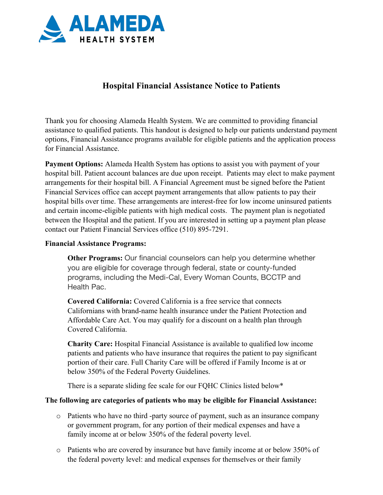

## **Hospital Financial Assistance Notice to Patients**

Thank you for choosing Alameda Health System. We are committed to providing financial assistance to qualified patients. This handout is designed to help our patients understand payment options, Financial Assistance programs available for eligible patients and the application process for Financial Assistance.

**Payment Options:** Alameda Health System has options to assist you with payment of your hospital bill. Patient account balances are due upon receipt. Patients may elect to make payment arrangements for their hospital bill. A Financial Agreement must be signed before the Patient Financial Services office can accept payment arrangements that allow patients to pay their hospital bills over time. These arrangements are interest-free for low income uninsured patients and certain income-eligible patients with high medical costs. The payment plan is negotiated between the Hospital and the patient. If you are interested in setting up a payment plan please contact our Patient Financial Services office (510) 895-7291.

## **Financial Assistance Programs:**

**Other Programs:** Our financial counselors can help you determine whether you are eligible for coverage through federal, state or county-funded programs, including the Medi-Cal, Every Woman Counts, BCCTP and Health Pac.

**Covered California:** Covered California is a free service that connects Californians with brand-name health insurance under the Patient Protection and Affordable Care Act. You may qualify for a discount on a health plan through Covered California.

**Charity Care:** Hospital Financial Assistance is available to qualified low income patients and patients who have insurance that requires the patient to pay significant portion of their care. Full Charity Care will be offered if Family Income is at or below 350% of the Federal Poverty Guidelines.

There is a separate sliding fee scale for our FQHC Clinics listed below\*

## **The following are categories of patients who may be eligible for Financial Assistance:**

- o Patients who have no third -party source of payment, such as an insurance company or government program, for any portion of their medical expenses and have a family income at or below 350% of the federal poverty level.
- o Patients who are covered by insurance but have family income at or below 350% of the federal poverty level: and medical expenses for themselves or their family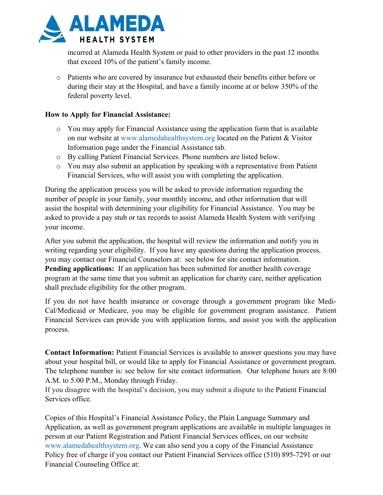

incurred at Alameda Health System or paid to other providers in the past 12 months that exceed 10% of the patient's family income.

o Patients who are covered by insurance but exhausted their benefits either before or during their stay at the Hospital, and have a family income at or below 350% of the federal poverty level.

## **How to Apply for Financial Assistance:**

- o You may apply for Financial Assistance using the application form that is available on our website at www.alamedahealthsystem.org located on the Patient & Visitor Information page under the Financial Assistance tab.
- o By calling Patient Financial Services. Phone numbers are listed below.
- o You may also submit an application by speaking with a representative from Patient Financial Services, who will assist you with completing the application.

During the application process you will be asked to provide information regarding the number of people in your family, your monthly income, and other information that will assist the hospital with determining your eligibility for Financial Assistance. You may be asked to provide a pay stub or tax records to assist Alameda Health System with verifying your income.

After you submit the application, the hospital will review the information and notify you in writing regarding your eligibility. If you have any questions during the application process, you may contact our Financial Counselors at: see below for site contact information. **Pending applications:** If an application has been submitted for another health coverage program at the same time that you submit an application for charity care, neither application shall preclude eligibility for the other program.

If you do not have health insurance or coverage through a government program like Medi-Cal/Medicaid or Medicare, you may be eligible for government program assistance. Patient Financial Services can provide you with application forms, and assist you with the application process.

**Contact Information:** Patient Financial Services is available to answer questions you may have about your hospital bill, or would like to apply for Financial Assistance or government program. The telephone number is: see below for site contact information. Our telephone hours are 8:00 A.M. to 5:00 P.M., Monday through Friday.

If you disagree with the hospital's decision, you may submit a dispute to the Patient Financial Services office.

Copies of this Hospital's Financial Assistance Policy, the Plain Language Summary and Application, as well as government program applications are available in multiple languages in person at our Patient Registration and Patient Financial Services offices, on our website www.alamedahealthsystem.org. We can also send you a copy of the Financial Assistance Policy free of charge if you contact our Patient Financial Services office (510) 895-7291 or our Financial Counseling Office at: